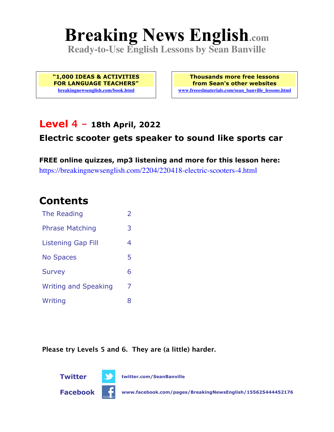# **Breaking News English.com**

**Ready-to-Use English Lessons by Sean Banville**

**"1,000 IDEAS & ACTIVITIES FOR LANGUAGE TEACHERS" breakingnewsenglish.com/book.html**

**Thousands more free lessons from Sean's other websites www.freeeslmaterials.com/sean\_banville\_lessons.html**

### **Level 4 - 18th April, 2022**

#### **Electric scooter gets speaker to sound like sports car**

**FREE online quizzes, mp3 listening and more for this lesson here:** https://breakingnewsenglish.com/2204/220418-electric-scooters-4.html

## **Contents**

| The Reading                 | $\overline{2}$ |
|-----------------------------|----------------|
| <b>Phrase Matching</b>      | 3              |
| <b>Listening Gap Fill</b>   | 4              |
| <b>No Spaces</b>            | 5              |
| <b>Survey</b>               | 6              |
| <b>Writing and Speaking</b> | 7              |
| Writing                     | 8              |

**Please try Levels 5 and 6. They are (a little) harder.**

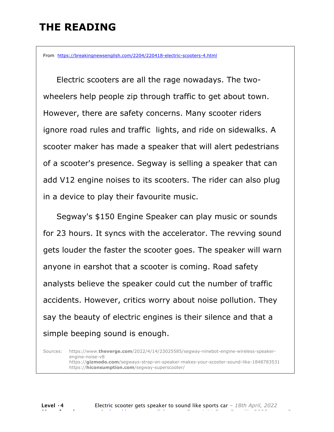# **THE READING**

From https://breakingnewsenglish.com/2204/220418-electric-scooters-4.html

 Electric scooters are all the rage nowadays. The twowheelers help people zip through traffic to get about town. However, there are safety concerns. Many scooter riders ignore road rules and traffic lights, and ride on sidewalks. A scooter maker has made a speaker that will alert pedestrians of a scooter's presence. Segway is selling a speaker that can add V12 engine noises to its scooters. The rider can also plug in a device to play their favourite music.

Segway's \$150 Engine Speaker can play music or sounds for 23 hours. It syncs with the accelerator. The revving sound gets louder the faster the scooter goes. The speaker will warn anyone in earshot that a scooter is coming. Road safety analysts believe the speaker could cut the number of traffic accidents. However, critics worry about noise pollution. They say the beauty of electric engines is their silence and that a simple beeping sound is enough.

Sources: https://www.**theverge.com**/2022/4/14/23025585/segway-ninebot-engine-wireless-speakerengine-noise-v8 https://**gizmodo.com**/segways-strap-on-speaker-makes-your-scooter-sound-like-1848783531 https://**hiconsumption.com**/segway-superscooter/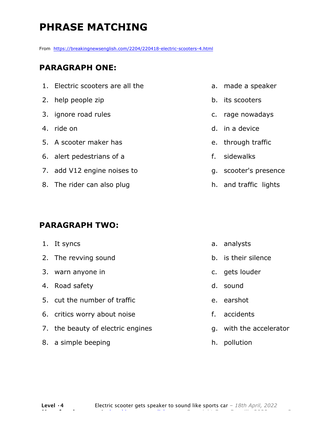# **PHRASE MATCHING**

From https://breakingnewsenglish.com/2204/220418-electric-scooters-4.html

#### **PARAGRAPH ONE:**

- 1. Electric scooters are all the
- 2. help people zip
- 3. ignore road rules
- 4. ride on
- 5. A scooter maker has
- 6. alert pedestrians of a
- 7. add V12 engine noises to
- 8. The rider can also plug

#### **PARAGRAPH TWO:**

- 1. It syncs
- 2. The revving sound
- 3. warn anyone in
- 4. Road safety
- 5. cut the number of traffic
- 6. critics worry about noise
- 7. the beauty of electric engines
- 8. a simple beeping
- a. made a speaker
- b. its scooters
- c. rage nowadays
- d. in a device
- e. through traffic
- f. sidewalks
- g. scooter's presence
- h. and traffic lights

- a. analysts
- b. is their silence
- c. gets louder
- d. sound
- e. earshot
- f. accidents
- g. with the accelerator
- h. pollution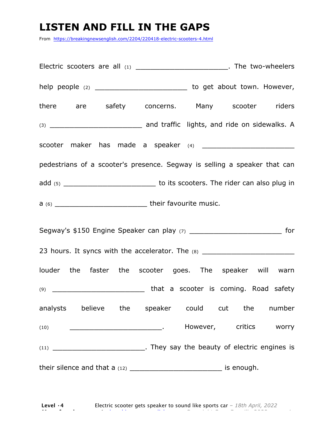# **LISTEN AND FILL IN THE GAPS**

From https://breakingnewsenglish.com/2204/220418-electric-scooters-4.html

|      | Electric scooters are all (1) ___________________________. The two-wheelers      |
|------|----------------------------------------------------------------------------------|
|      | help people (2) _____________________________ to get about town. However,        |
|      | there are safety concerns. Many scooter riders                                   |
|      |                                                                                  |
|      |                                                                                  |
|      | pedestrians of a scooter's presence. Segway is selling a speaker that can        |
|      |                                                                                  |
|      |                                                                                  |
|      | Segway's \$150 Engine Speaker can play (7) _________________________________ for |
|      |                                                                                  |
|      | 23 hours. It syncs with the accelerator. The (8) _______________________________ |
|      | louder the faster the scooter goes. The speaker will warn                        |
|      |                                                                                  |
|      | analysts believe the speaker could cut the number                                |
| (10) | However, critics worry                                                           |
|      |                                                                                  |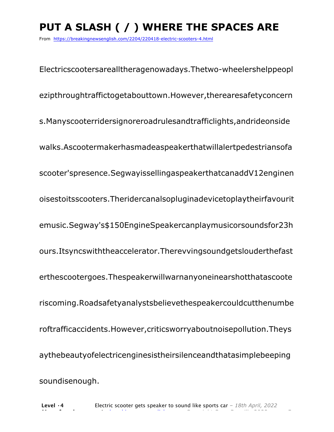# **PUT A SLASH ( / ) WHERE THE SPACES ARE**

From https://breakingnewsenglish.com/2204/220418-electric-scooters-4.html

Electricscootersarealltheragenowadays.Thetwo-wheelershelppeopl ezipthroughtraffictogetabouttown.However,therearesafetyconcern s.Manyscooterridersignoreroadrulesandtrafficlights,andrideonside walks.Ascootermakerhasmadeaspeakerthatwillalertpedestriansofa scooter'spresence.SegwayissellingaspeakerthatcanaddV12enginen oisestoitsscooters.Theridercanalsopluginadevicetoplaytheirfavourit emusic.Segway's\$150EngineSpeakercanplaymusicorsoundsfor23h ours.Itsyncswiththeaccelerator.Therevvingsoundgetslouderthefast erthescootergoes.Thespeakerwillwarnanyoneinearshotthatascoote riscoming.Roadsafetyanalystsbelievethespeakercouldcutthenumbe roftrafficaccidents.However,criticsworryaboutnoisepollution.Theys aythebeautyofelectricenginesistheirsilenceandthatasimplebeeping soundisenough.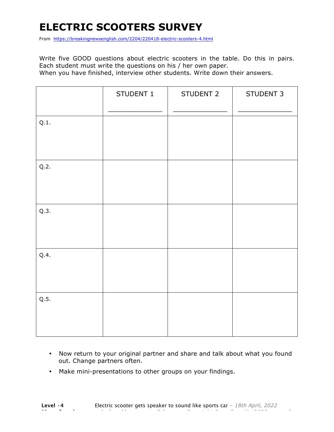# **ELECTRIC SCOOTERS SURVEY**

From https://breakingnewsenglish.com/2204/220418-electric-scooters-4.html

Write five GOOD questions about electric scooters in the table. Do this in pairs. Each student must write the questions on his / her own paper. When you have finished, interview other students. Write down their answers.

|      | STUDENT 1 | STUDENT 2 | STUDENT 3 |
|------|-----------|-----------|-----------|
| Q.1. |           |           |           |
| Q.2. |           |           |           |
| Q.3. |           |           |           |
| Q.4. |           |           |           |
| Q.5. |           |           |           |

- Now return to your original partner and share and talk about what you found out. Change partners often.
- Make mini-presentations to other groups on your findings.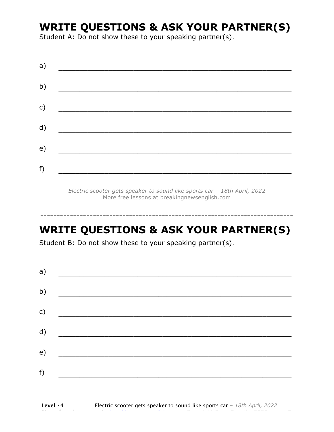# **WRITE QUESTIONS & ASK YOUR PARTNER(S)**

Student A: Do not show these to your speaking partner(s).

| a) |  |  |
|----|--|--|
| b) |  |  |
| c) |  |  |
| d) |  |  |
| e) |  |  |
| f) |  |  |
|    |  |  |

*Electric scooter gets speaker to sound like sports car – 18th April, 2022* More free lessons at breakingnewsenglish.com

## **WRITE QUESTIONS & ASK YOUR PARTNER(S)**

-----------------------------------------------------------------------------

Student B: Do not show these to your speaking partner(s).

| a)            |  |  |
|---------------|--|--|
| b)            |  |  |
| $\mathsf{c})$ |  |  |
| d)            |  |  |
| e)            |  |  |
| f)            |  |  |
|               |  |  |